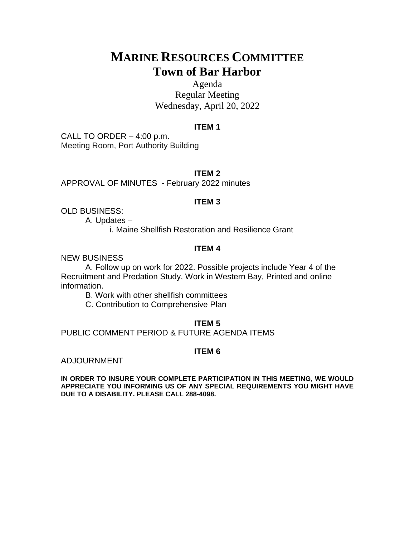## **MARINE RESOURCES COMMITTEE Town of Bar Harbor**

Agenda Regular Meeting Wednesday, April 20, 2022

### **ITEM 1**

CALL TO ORDER – 4:00 p.m. Meeting Room, Port Authority Building

**ITEM 2**

APPROVAL OF MINUTES - February 2022 minutes

## **ITEM 3**

OLD BUSINESS:

A. Updates –

i. Maine Shellfish Restoration and Resilience Grant

## **ITEM 4**

NEW BUSINESS

A. Follow up on work for 2022. Possible projects include Year 4 of the Recruitment and Predation Study, Work in Western Bay, Printed and online information.

B. Work with other shellfish committees

C. Contribution to Comprehensive Plan

### **ITEM 5**

PUBLIC COMMENT PERIOD & FUTURE AGENDA ITEMS

## **ITEM 6**

ADJOURNMENT

**IN ORDER TO INSURE YOUR COMPLETE PARTICIPATION IN THIS MEETING, WE WOULD APPRECIATE YOU INFORMING US OF ANY SPECIAL REQUIREMENTS YOU MIGHT HAVE DUE TO A DISABILITY. PLEASE CALL 288-4098.**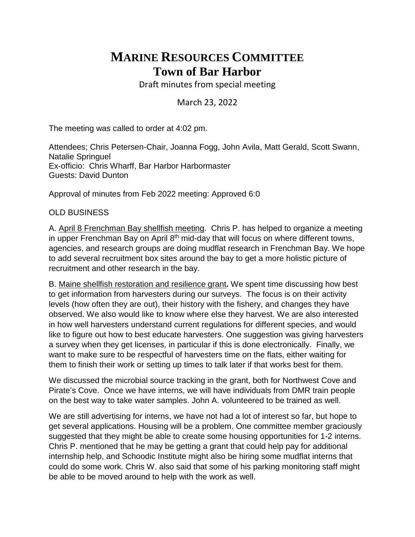# **MARINE RESOURCES COMMITTEE Town of Bar Harbor**

Draft minutes from special meeting

March 23, 2022

The meeting was called to order at 4:02 pm.

Attendees; Chris Petersen-Chair, Joanna Fogg, John Avila, Matt Gerald, Scott Swann, Natalie Springuel Ex-officio: Chris Wharff, Bar Harbor Harbormaster Guests: David Dunton

Approval of minutes from Feb 2022 meeting: Approved 6:0

## OLD BUSINESS

A. April 8 Frenchman Bay shellfish meeting. Chris P. has helped to organize a meeting in upper Frenchman Bay on April  $8<sup>th</sup>$  mid-day that will focus on where different towns, agencies, and research groups are doing mudflat research in Frenchman Bay. We hope to add several recruitment box sites around the bay to get a more holistic picture of recruitment and other research in the bay.

B. Maine shellfish restoration and resilience grant**.** We spent time discussing how best to get information from harvesters during our surveys. The focus is on their activity levels (how often they are out), their history with the fishery, and changes they have observed. We also would like to know where else they harvest. We are also interested in how well harvesters understand current regulations for different species, and would like to figure out how to best educate harvesters. One suggestion was giving harvesters a survey when they get licenses, in particular if this is done electronically. Finally, we want to make sure to be respectful of harvesters time on the flats, either waiting for them to finish their work or setting up times to talk later if that works best for them.

We discussed the microbial source tracking in the grant, both for Northwest Cove and Pirate's Cove. Once we have interns, we will have individuals from DMR train people on the best way to take water samples. John A. volunteered to be trained as well.

We are still advertising for interns, we have not had a lot of interest so far, but hope to get several applications. Housing will be a problem. One committee member graciously suggested that they might be able to create some housing opportunities for 1-2 interns. Chris P. mentioned that he may be getting a grant that could help pay for additional internship help, and Schoodic Institute might also be hiring some mudflat interns that could do some work. Chris W. also said that some of his parking monitoring staff might be able to be moved around to help with the work as well.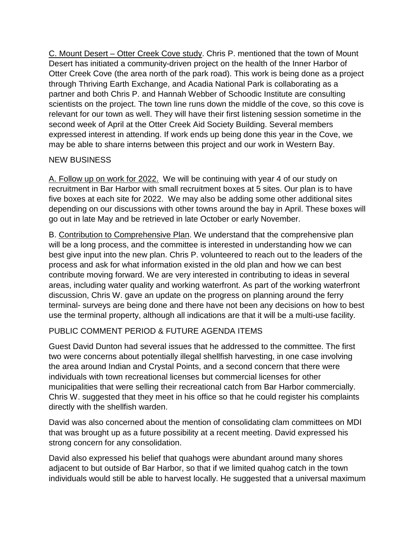C. Mount Desert – Otter Creek Cove study. Chris P. mentioned that the town of Mount Desert has initiated a community-driven project on the health of the Inner Harbor of Otter Creek Cove (the area north of the park road). This work is being done as a project through Thriving Earth Exchange, and Acadia National Park is collaborating as a partner and both Chris P. and Hannah Webber of Schoodic Institute are consulting scientists on the project. The town line runs down the middle of the cove, so this cove is relevant for our town as well. They will have their first listening session sometime in the second week of April at the Otter Creek Aid Society Building. Several members expressed interest in attending. If work ends up being done this year in the Cove, we may be able to share interns between this project and our work in Western Bay.

## NEW BUSINESS

A. Follow up on work for 2022. We will be continuing with year 4 of our study on recruitment in Bar Harbor with small recruitment boxes at 5 sites. Our plan is to have five boxes at each site for 2022. We may also be adding some other additional sites depending on our discussions with other towns around the bay in April. These boxes will go out in late May and be retrieved in late October or early November.

B. Contribution to Comprehensive Plan. We understand that the comprehensive plan will be a long process, and the committee is interested in understanding how we can best give input into the new plan. Chris P. volunteered to reach out to the leaders of the process and ask for what information existed in the old plan and how we can best contribute moving forward. We are very interested in contributing to ideas in several areas, including water quality and working waterfront. As part of the working waterfront discussion, Chris W. gave an update on the progress on planning around the ferry terminal- surveys are being done and there have not been any decisions on how to best use the terminal property, although all indications are that it will be a multi-use facility.

## PUBLIC COMMENT PERIOD & FUTURE AGENDA ITEMS

Guest David Dunton had several issues that he addressed to the committee. The first two were concerns about potentially illegal shellfish harvesting, in one case involving the area around Indian and Crystal Points, and a second concern that there were individuals with town recreational licenses but commercial licenses for other municipalities that were selling their recreational catch from Bar Harbor commercially. Chris W. suggested that they meet in his office so that he could register his complaints directly with the shellfish warden.

David was also concerned about the mention of consolidating clam committees on MDI that was brought up as a future possibility at a recent meeting. David expressed his strong concern for any consolidation.

David also expressed his belief that quahogs were abundant around many shores adjacent to but outside of Bar Harbor, so that if we limited quahog catch in the town individuals would still be able to harvest locally. He suggested that a universal maximum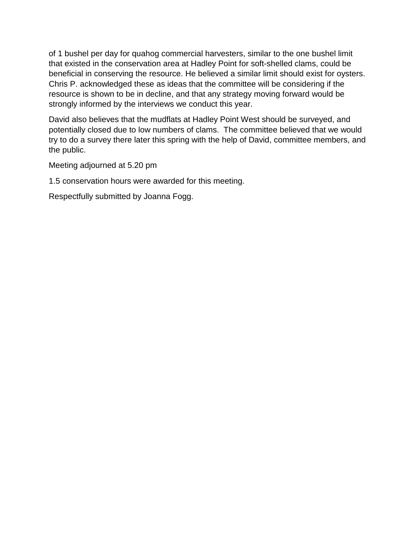of 1 bushel per day for quahog commercial harvesters, similar to the one bushel limit that existed in the conservation area at Hadley Point for soft-shelled clams, could be beneficial in conserving the resource. He believed a similar limit should exist for oysters. Chris P. acknowledged these as ideas that the committee will be considering if the resource is shown to be in decline, and that any strategy moving forward would be strongly informed by the interviews we conduct this year.

David also believes that the mudflats at Hadley Point West should be surveyed, and potentially closed due to low numbers of clams. The committee believed that we would try to do a survey there later this spring with the help of David, committee members, and the public.

Meeting adjourned at 5.20 pm

1.5 conservation hours were awarded for this meeting.

Respectfully submitted by Joanna Fogg.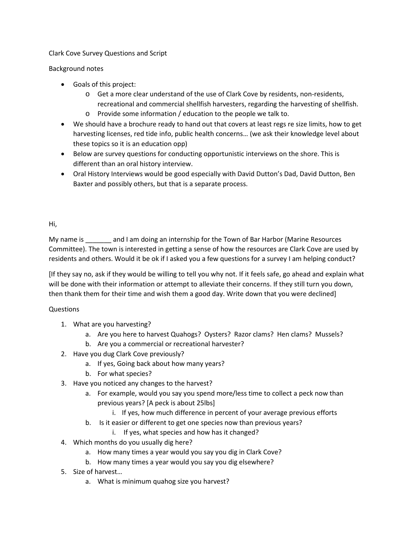Clark Cove Survey Questions and Script

Background notes

- Goals of this project:
	- o Get a more clear understand of the use of Clark Cove by residents, non-residents, recreational and commercial shellfish harvesters, regarding the harvesting of shellfish.
	- o Provide some information / education to the people we talk to.
- We should have a brochure ready to hand out that covers at least regs re size limits, how to get harvesting licenses, red tide info, public health concerns… (we ask their knowledge level about these topics so it is an education opp)
- Below are survey questions for conducting opportunistic interviews on the shore. This is different than an oral history interview.
- Oral History Interviews would be good especially with David Dutton's Dad, David Dutton, Ben Baxter and possibly others, but that is a separate process.

Hi,

My name is and I am doing an internship for the Town of Bar Harbor (Marine Resources Committee). The town is interested in getting a sense of how the resources are Clark Cove are used by residents and others. Would it be ok if I asked you a few questions for a survey I am helping conduct?

[If they say no, ask if they would be willing to tell you why not. If it feels safe, go ahead and explain what will be done with their information or attempt to alleviate their concerns. If they still turn you down, then thank them for their time and wish them a good day. Write down that you were declined]

## Questions

- 1. What are you harvesting?
	- a. Are you here to harvest Quahogs? Oysters? Razor clams? Hen clams? Mussels?
	- b. Are you a commercial or recreational harvester?
- 2. Have you dug Clark Cove previously?
	- a. If yes, Going back about how many years?
	- b. For what species?
- 3. Have you noticed any changes to the harvest?
	- a. For example, would you say you spend more/less time to collect a peck now than previous years? [A peck is about 25lbs]
		- i. If yes, how much difference in percent of your average previous efforts
	- b. Is it easier or different to get one species now than previous years?
		- i. If yes, what species and how has it changed?
- 4. Which months do you usually dig here?
	- a. How many times a year would you say you dig in Clark Cove?
	- b. How many times a year would you say you dig elsewhere?
- 5. Size of harvest…
	- a. What is minimum quahog size you harvest?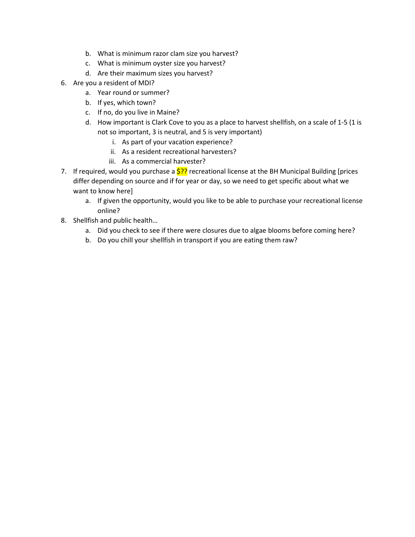- b. What is minimum razor clam size you harvest?
- c. What is minimum oyster size you harvest?
- d. Are their maximum sizes you harvest?
- 6. Are you a resident of MDI?
	- a. Year round or summer?
	- b. If yes, which town?
	- c. If no, do you live in Maine?
	- d. How important is Clark Cove to you as a place to harvest shellfish, on a scale of 1-5 (1 is not so important, 3 is neutral, and 5 is very important)
		- i. As part of your vacation experience?
		- ii. As a resident recreational harvesters?
		- iii. As a commercial harvester?
- 7. If required, would you purchase a  $\frac{5?}{?}$  recreational license at the BH Municipal Building [prices] differ depending on source and if for year or day, so we need to get specific about what we want to know here]
	- a. If given the opportunity, would you like to be able to purchase your recreational license online?
- 8. Shellfish and public health…
	- a. Did you check to see if there were closures due to algae blooms before coming here?
	- b. Do you chill your shellfish in transport if you are eating them raw?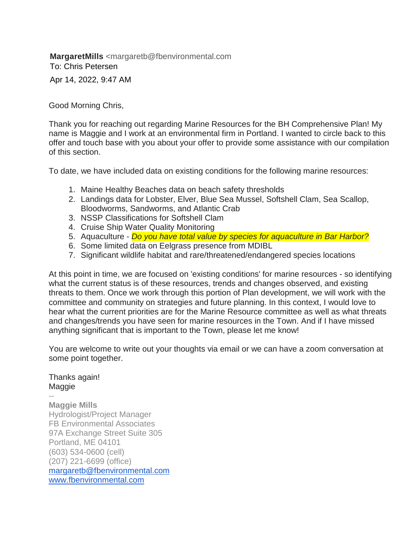**MargaretMills** <margaretb@fbenvironmental.com To: Chris Petersen Apr 14, 2022, 9:47 AM

Good Morning Chris,

Thank you for reaching out regarding Marine Resources for the BH Comprehensive Plan! My name is Maggie and I work at an environmental firm in Portland. I wanted to circle back to this offer and touch base with you about your offer to provide some assistance with our compilation of this section.

To date, we have included data on existing conditions for the following marine resources:

- 1. Maine Healthy Beaches data on beach safety thresholds
- 2. Landings data for Lobster, Elver, Blue Sea Mussel, Softshell Clam, Sea Scallop, Bloodworms, Sandworms, and Atlantic Crab
- 3. NSSP Classifications for Softshell Clam
- 4. Cruise Ship Water Quality Monitoring
- 5. Aquaculture *Do you have total value by species for aquaculture in Bar Harbor?*
- 6. Some limited data on Eelgrass presence from MDIBL
- 7. Significant wildlife habitat and rare/threatened/endangered species locations

At this point in time, we are focused on 'existing conditions' for marine resources - so identifying what the current status is of these resources, trends and changes observed, and existing threats to them. Once we work through this portion of Plan development, we will work with the committee and community on strategies and future planning. In this context, I would love to hear what the current priorities are for the Marine Resource committee as well as what threats and changes/trends you have seen for marine resources in the Town. And if I have missed anything significant that is important to the Town, please let me know!

You are welcome to write out your thoughts via email or we can have a zoom conversation at some point together.

#### Thanks again! Maggie

-- **Maggie Mills** Hydrologist/Project Manager FB Environmental Associates 97A Exchange Street Suite 305 Portland, ME 04101 (603) 534-0600 (cell) (207) 221-6699 (office) [margaretb@fbenvironmental.com](mailto:margaretb@fbenvironmental.com) [www.fbenvironmental.com](http://www.fbenvironmental.com/)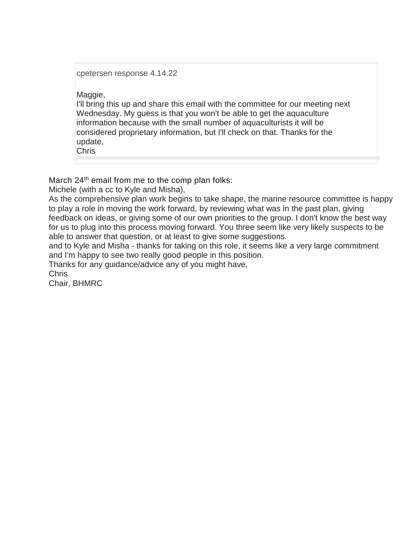cpetersen response 4.14.22

Maggie,

I'll bring this up and share this email with the committee for our meeting next Wednesday. My guess is that you won't be able to get the aquaculture information because with the small number of aquaculturists it will be considered proprietary information, but I'll check on that. Thanks for the update,

Chris

March 24<sup>th</sup> email from me to the comp plan folks:

Michele (with a cc to Kyle and Misha),

As the comprehensive plan work begins to take shape, the marine resource committee is happy to play a role in moving the work forward, by reviewing what was in the past plan, giving feedback on ideas, or giving some of our own priorities to the group. I don't know the best way for us to plug into this process moving forward. You three seem like very likely suspects to be able to answer that question, or at least to give some suggestions.

and to Kyle and Misha - thanks for taking on this role, it seems like a very large commitment and I'm happy to see two really good people in this position.

Thanks for any guidance/advice any of you might have,

Chris

Chair, BHMRC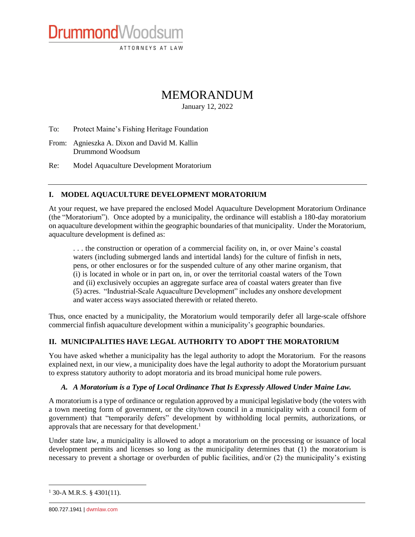ATTORNEYS AT LAW

## MEMORANDUM

January 12, 2022

To: Protect Maine's Fishing Heritage Foundation

From: Agnieszka A. Dixon and David M. Kallin Drummond Woodsum

DrummondWoodsum

Re: Model Aquaculture Development Moratorium

#### **I. MODEL AQUACULTURE DEVELOPMENT MORATORIUM**

At your request, we have prepared the enclosed Model Aquaculture Development Moratorium Ordinance (the "Moratorium"). Once adopted by a municipality, the ordinance will establish a 180-day moratorium on aquaculture development within the geographic boundaries of that municipality. Under the Moratorium, aquaculture development is defined as:

. . . the construction or operation of a commercial facility on, in, or over Maine's coastal waters (including submerged lands and intertidal lands) for the culture of finfish in nets, pens, or other enclosures or for the suspended culture of any other marine organism, that (i) is located in whole or in part on, in, or over the territorial coastal waters of the Town and (ii) exclusively occupies an aggregate surface area of coastal waters greater than five (5) acres. "Industrial-Scale Aquaculture Development" includes any onshore development and water access ways associated therewith or related thereto.

Thus, once enacted by a municipality, the Moratorium would temporarily defer all large-scale offshore commercial finfish aquaculture development within a municipality's geographic boundaries.

#### **II. MUNICIPALITIES HAVE LEGAL AUTHORITY TO ADOPT THE MORATORIUM**

You have asked whether a municipality has the legal authority to adopt the Moratorium. For the reasons explained next, in our view, a municipality does have the legal authority to adopt the Moratorium pursuant to express statutory authority to adopt moratoria and its broad municipal home rule powers.

#### *A. A Moratorium is a Type of Local Ordinance That Is Expressly Allowed Under Maine Law.*

A moratorium is a type of ordinance or regulation approved by a municipal legislative body (the voters with a town meeting form of government, or the city/town council in a municipality with a council form of government) that "temporarily defers" development by withholding local permits, authorizations, or approvals that are necessary for that development.<sup>1</sup>

Under state law, a municipality is allowed to adopt a moratorium on the processing or issuance of local development permits and licenses so long as the municipality determines that (1) the moratorium is necessary to prevent a shortage or overburden of public facilities, and/or (2) the municipality's existing

 $\overline{a}$ 

 $1$  30-A M.R.S. § 4301(11).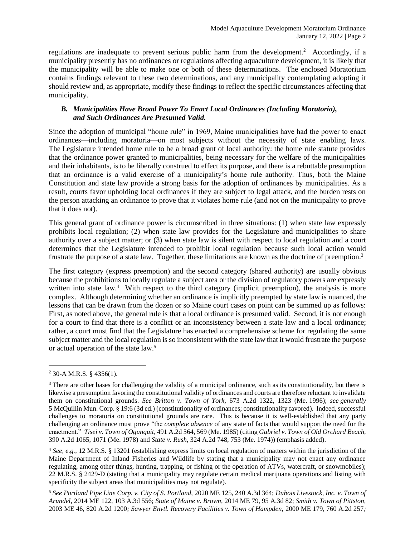regulations are inadequate to prevent serious public harm from the development.<sup>2</sup> Accordingly, if a municipality presently has no ordinances or regulations affecting aquaculture development, it is likely that the municipality will be able to make one or both of these determinations. The enclosed Moratorium contains findings relevant to these two determinations, and any municipality contemplating adopting it should review and, as appropriate, modify these findings to reflect the specific circumstances affecting that municipality.

#### *B. Municipalities Have Broad Power To Enact Local Ordinances (Including Moratoria), and Such Ordinances Are Presumed Valid.*

Since the adoption of municipal "home rule" in 1969, Maine municipalities have had the power to enact ordinances—including moratoria—on most subjects without the necessity of state enabling laws. The Legislature intended home rule to be a broad grant of local authority: the home rule statute provides that the ordinance power granted to municipalities, being necessary for the welfare of the municipalities and their inhabitants, is to be liberally construed to effect its purpose, and there is a rebuttable presumption that an ordinance is a valid exercise of a municipality's home rule authority. Thus, both the Maine Constitution and state law provide a strong basis for the adoption of ordinances by municipalities. As a result, courts favor upholding local ordinances if they are subject to legal attack, and the burden rests on the person attacking an ordinance to prove that it violates home rule (and not on the municipality to prove that it does not).

This general grant of ordinance power is circumscribed in three situations: (1) when state law expressly prohibits local regulation; (2) when state law provides for the Legislature and municipalities to share authority over a subject matter; or (3) when state law is silent with respect to local regulation and a court determines that the Legislature intended to prohibit local regulation because such local action would frustrate the purpose of a state law. Together, these limitations are known as the doctrine of preemption.<sup>3</sup>

The first category (express preemption) and the second category (shared authority) are usually obvious because the prohibitions to locally regulate a subject area or the division of regulatory powers are expressly written into state law.<sup>4</sup> With respect to the third category (implicit preemption), the analysis is more complex. Although determining whether an ordinance is implicitly preempted by state law is nuanced, the lessons that can be drawn from the dozen or so Maine court cases on point can be summed up as follows: First, as noted above, the general rule is that a local ordinance is presumed valid. Second, it is not enough for a court to find that there is a conflict or an inconsistency between a state law and a local ordinance; rather, a court must find that the Legislature has enacted a comprehensive scheme for regulating the same subject matter and the local regulation is so inconsistent with the state law that it would frustrate the purpose or actual operation of the state law.<sup>5</sup>

<sup>2</sup> 30-A M.R.S. § 4356(1).

<sup>&</sup>lt;sup>3</sup> There are other bases for challenging the validity of a municipal ordinance, such as its constitutionality, but there is likewise a presumption favoring the constitutional validity of ordinances and courts are therefore reluctant to invalidate them on constitutional grounds. *See Britton v. Town of York,* 673 A.2d 1322, 1323 (Me. 1996); *see generally*  5 McQuillin Mun. Corp. § 19:6 (3d ed.) (constitutionality of ordinances; constitutionality favored). Indeed, successful challenges to moratoria on constitutional grounds are rare. This is because it is well-established that any party challenging an ordinance must prove "the *complete absence* of any state of facts that would support the need for the enactment." *Tisei v. Town of Ogunquit*, 491 A.2d 564, 569 (Me. 1985) (citing *Gabriel v. Town of Old Orchard Beach,*  390 A.2d 1065, 1071 (Me. 1978) and *State v. Rush,* 324 A.2d 748, 753 (Me. 1974)) (emphasis added).

<sup>4</sup> *See, e.g.,* 12 M.R.S. § 13201 (establishing express limits on local regulation of matters within the jurisdiction of the Maine Department of Inland Fisheries and Wildlife by stating that a municipality may not enact any ordinance regulating, among other things, hunting, trapping, or fishing or the operation of ATVs, watercraft, or snowmobiles); 22 M.R.S. § 2429-D (stating that a municipality may regulate certain medical marijuana operations and listing with specificity the subject areas that municipalities may not regulate).

<sup>5</sup> *See Portland Pipe Line Corp. v. City of S. Portland,* 2020 ME 125, 240 A.3d 364; *Dubois Livestock, Inc. v. Town of Arundel,* 2014 ME 122, 103 A.3d 556; *State of Maine v. Brown,* 2014 ME 79, 95 A.3d 82; *Smith v. Town of Pittston,*  2003 ME 46, 820 A.2d 1200*; Sawyer Envtl. Recovery Facilities v. Town of Hampden,* 2000 ME 179, 760 A.2d 257*;*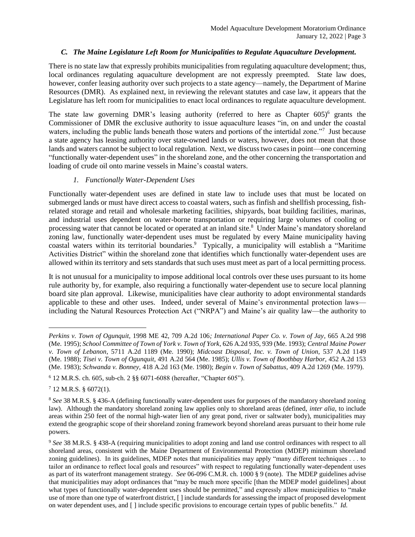#### *C. The Maine Legislature Left Room for Municipalities to Regulate Aquaculture Development.*

There is no state law that expressly prohibits municipalities from regulating aquaculture development; thus, local ordinances regulating aquaculture development are not expressly preempted. State law does, however, confer leasing authority over such projects to a state agency—namely, the Department of Marine Resources (DMR). As explained next, in reviewing the relevant statutes and case law, it appears that the Legislature has left room for municipalities to enact local ordinances to regulate aquaculture development.

The state law governing DMR's leasing authority (referred to here as Chapter  $605$ )<sup>6</sup> grants the Commissioner of DMR the exclusive authority to issue aquaculture leases "in, on and under the coastal waters, including the public lands beneath those waters and portions of the intertidal zone."<sup>7</sup> Just because a state agency has leasing authority over state-owned lands or waters, however, does not mean that those lands and waters cannot be subject to local regulation. Next, we discuss two cases in point—one concerning "functionally water-dependent uses" in the shoreland zone, and the other concerning the transportation and loading of crude oil onto marine vessels in Maine's coastal waters.

#### *1. Functionally Water-Dependent Uses*

Functionally water-dependent uses are defined in state law to include uses that must be located on submerged lands or must have direct access to coastal waters, such as finfish and shellfish processing, fishrelated storage and retail and wholesale marketing facilities, shipyards, boat building facilities, marinas, and industrial uses dependent on water-borne transportation or requiring large volumes of cooling or processing water that cannot be located or operated at an inland site.<sup>8</sup> Under Maine's mandatory shoreland zoning law, functionally water-dependent uses must be regulated by every Maine municipality having coastal waters within its territorial boundaries. 9 Typically, a municipality will establish a "Maritime Activities District" within the shoreland zone that identifies which functionally water-dependent uses are allowed within its territory and sets standards that such uses must meet as part of a local permitting process.

It is not unusual for a municipality to impose additional local controls over these uses pursuant to its home rule authority by, for example, also requiring a functionally water-dependent use to secure local planning board site plan approval. Likewise, municipalities have clear authority to adopt environmental standards applicable to these and other uses. Indeed, under several of Maine's environmental protection laws including the Natural Resources Protection Act ("NRPA") and Maine's air quality law—the authority to

 $\overline{a}$ 

*Perkins v. Town of Ogunquit,* 1998 ME 42, 709 A.2d 106*; International Paper Co. v. Town of Jay*, 665 A.2d 998 (Me. 1995); *School Committee of Town of York v. Town of York*, 626 A.2d 935, 939 (Me. 1993); *Central Maine Power v. Town of Lebanon*, 5711 A.2d 1189 (Me. 1990); *Midcoast Disposal, Inc. v. Town of Union,* 537 A.2d 1149 (Me. 1988); *Tisei v. Town of Ogunquit,* 491 A.2d 564 (Me. 1985); *Ullis v. Town of Boothbay Harbor,* 452 A.2d 153 (Me. 1983); *Schwanda v. Bonney,* 418 A.2d 163 (Me. 1980); *Begin v. Town of Sabattus,* 409 A.2d 1269 (Me. 1979).

<sup>6</sup> 12 M.R.S. ch. 605, sub-ch. 2 §§ 6071-6088 (hereafter, "Chapter 605").

 $7$  12 M.R.S. § 6072(1).

<sup>8</sup> *See* 38 M.R.S. § 436-A (defining functionally water-dependent uses for purposes of the mandatory shoreland zoning law). Although the mandatory shoreland zoning law applies only to shoreland areas (defined, *inter alia,* to include areas within 250 feet of the normal high-water lien of any great pond, river or saltwater body), municipalities may extend the geographic scope of their shoreland zoning framework beyond shoreland areas pursuant to their home rule powers.

<sup>9</sup> *See* 38 M.R.S. § 438-A (requiring municipalities to adopt zoning and land use control ordinances with respect to all shoreland areas, consistent with the Maine Department of Environmental Protection (MDEP) minimum shoreland zoning guidelines). In its guidelines, MDEP notes that municipalities may apply "many different techniques . . . to tailor an ordinance to reflect local goals and resources" with respect to regulating functionally water-dependent uses as part of its waterfront management strategy. *See* 06-096 C.M.R. ch. 1000 § 9 (note). The MDEP guidelines advise that municipalities may adopt ordinances that "may be much more specific [than the MDEP model guidelines] about what types of functionally water-dependent uses should be permitted," and expressly allow municipalities to "make use of more than one type of waterfront district, [ ] include standards for assessing the impact of proposed development on water dependent uses, and [ ] include specific provisions to encourage certain types of public benefits." *Id.*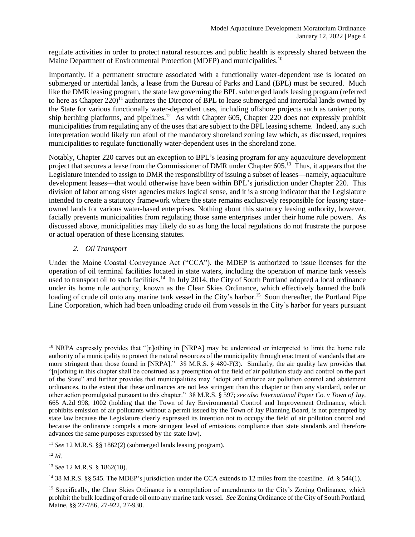regulate activities in order to protect natural resources and public health is expressly shared between the Maine Department of Environmental Protection (MDEP) and municipalities.<sup>10</sup>

Importantly, if a permanent structure associated with a functionally water-dependent use is located on submerged or intertidal lands, a lease from the Bureau of Parks and Land (BPL) must be secured. Much like the DMR leasing program, the state law governing the BPL submerged lands leasing program (referred to here as Chapter  $220$ <sup>11</sup> authorizes the Director of BPL to lease submerged and intertidal lands owned by the State for various functionally water-dependent uses, including offshore projects such as tanker ports, ship berthing platforms, and pipelines.<sup>12</sup> As with Chapter 605, Chapter 220 does not expressly prohibit municipalities from regulating any of the uses that are subject to the BPL leasing scheme. Indeed, any such interpretation would likely run afoul of the mandatory shoreland zoning law which, as discussed, requires municipalities to regulate functionally water-dependent uses in the shoreland zone.

Notably, Chapter 220 carves out an exception to BPL's leasing program for any aquaculture development project that secures a lease from the Commissioner of DMR under Chapter 605.<sup>13</sup> Thus, it appears that the Legislature intended to assign to DMR the responsibility of issuing a subset of leases—namely, aquaculture development leases—that would otherwise have been within BPL's jurisdiction under Chapter 220. This division of labor among sister agencies makes logical sense, and it is a strong indicator that the Legislature intended to create a statutory framework where the state remains exclusively responsible for *leasing* stateowned lands for various water-based enterprises. Nothing about this statutory leasing authority, however, facially prevents municipalities from regulating those same enterprises under their home rule powers. As discussed above, municipalities may likely do so as long the local regulations do not frustrate the purpose or actual operation of these licensing statutes.

#### *2. Oil Transport*

Under the Maine Coastal Conveyance Act ("CCA"), the MDEP is authorized to issue licenses for the operation of oil terminal facilities located in state waters, including the operation of marine tank vessels used to transport oil to such facilities.<sup>14</sup> In July 2014, the City of South Portland adopted a local ordinance under its home rule authority, known as the Clear Skies Ordinance, which effectively banned the bulk loading of crude oil onto any marine tank vessel in the City's harbor.<sup>15</sup> Soon thereafter, the Portland Pipe Line Corporation, which had been unloading crude oil from vessels in the City's harbor for years pursuant

 $\overline{a}$ 

<sup>&</sup>lt;sup>10</sup> NRPA expressly provides that "[n]othing in [NRPA] may be understood or interpreted to limit the home rule authority of a municipality to protect the natural resources of the municipality through enactment of standards that are more stringent than those found in [NRPA]." 38 M.R.S. § 480-F(3). Similarly, the air quality law provides that "[n]othing in this chapter shall be construed as a preemption of the field of air pollution study and control on the part of the State" and further provides that municipalities may "adopt and enforce air pollution control and abatement ordinances, to the extent that these ordinances are not less stringent than this chapter or than any standard, order or other action promulgated pursuant to this chapter." 38 M.R.S. § 597; *see also International Paper Co. v Town of Jay,*  665 A.2d 998, 1002 (holding that the Town of Jay Environmental Control and Improvement Ordinance, which prohibits emission of air pollutants without a permit issued by the Town of Jay Planning Board, is not preempted by state law because the Legislature clearly expressed its intention not to occupy the field of air pollution control and because the ordinance compels a more stringent level of emissions compliance than state standards and therefore advances the same purposes expressed by the state law).

<sup>11</sup> *See* 12 M.R.S. §§ 1862(2) (submerged lands leasing program).

<sup>12</sup> *Id.*

<sup>13</sup> *See* 12 M.R.S. § 1862(10).

<sup>14</sup> 38 M.R.S. §§ 545. The MDEP's jurisdiction under the CCA extends to 12 miles from the coastline. *Id.* § 544(1).

<sup>&</sup>lt;sup>15</sup> Specifically, the Clear Skies Ordinance is a compilation of amendments to the City's Zoning Ordinance, which prohibit the bulk loading of crude oil onto any marine tank vessel. *See* Zoning Ordinance of the City of South Portland, Maine, §§ 27-786, 27-922, 27-930.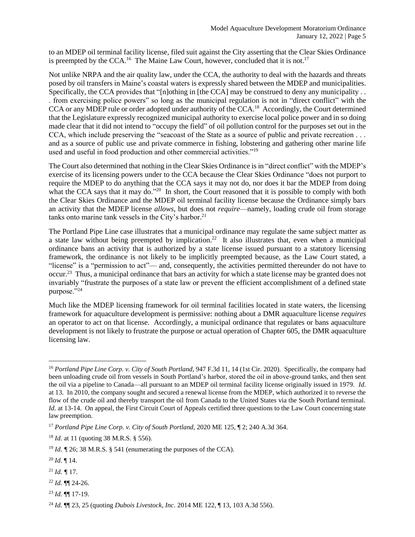to an MDEP oil terminal facility license, filed suit against the City asserting that the Clear Skies Ordinance is preempted by the CCA.<sup>16</sup> The Maine Law Court, however, concluded that it is not.<sup>17</sup>

Not unlike NRPA and the air quality law, under the CCA, the authority to deal with the hazards and threats posed by oil transfers in Maine's coastal waters is expressly shared between the MDEP and municipalities. Specifically, the CCA provides that "[n]othing in [the CCA] may be construed to deny any municipality . . . from exercising police powers" so long as the municipal regulation is not in "direct conflict" with the CCA or any MDEP rule or order adopted under authority of the CCA.<sup>18</sup> Accordingly, the Court determined that the Legislature expressly recognized municipal authority to exercise local police power and in so doing made clear that it did not intend to "occupy the field" of oil pollution control for the purposes set out in the CCA, which include preserving the "seacoast of the State as a source of public and private recreation . . . and as a source of public use and private commerce in fishing, lobstering and gathering other marine life used and useful in food production and other commercial activities."<sup>19</sup>

The Court also determined that nothing in the Clear Skies Ordinance is in "direct conflict" with the MDEP's exercise of its licensing powers under to the CCA because the Clear Skies Ordinance "does not purport to require the MDEP to do anything that the CCA says it may not do, nor does it bar the MDEP from doing what the CCA says that it may do."<sup>20</sup> In short, the Court reasoned that it is possible to comply with both the Clear Skies Ordinance and the MDEP oil terminal facility license because the Ordinance simply bars an activity that the MDEP license *allows*, but does not *require*—namely, loading crude oil from storage tanks onto marine tank vessels in the City's harbor. 21

The Portland Pipe Line case illustrates that a municipal ordinance may regulate the same subject matter as a state law without being preempted by implication.<sup>22</sup> It also illustrates that, even when a municipal ordinance bans an activity that is authorized by a state license issued pursuant to a statutory licensing framework, the ordinance is not likely to be implicitly preempted because, as the Law Court stated, a "license" is a "permission to act"— and, consequently, the activities permitted thereunder do not have to occur.<sup>23</sup> Thus, a municipal ordinance that bars an activity for which a state license may be granted does not invariably "frustrate the purposes of a state law or prevent the efficient accomplishment of a defined state purpose."24

Much like the MDEP licensing framework for oil terminal facilities located in state waters, the licensing framework for aquaculture development is permissive: nothing about a DMR aquaculture license *requires*  an operator to act on that license. Accordingly, a municipal ordinance that regulates or bans aquaculture development is not likely to frustrate the purpose or actual operation of Chapter 605, the DMR aquaculture licensing law.

 $\overline{a}$ 

 $^{21}$  *Id.*  $\llap{q}$  17.

<sup>23</sup> *Id.* ¶¶ 17-19.

<sup>16</sup> *Portland Pipe Line Corp. v. City of South Portland,* 947 F.3d 11, 14 (1st Cir. 2020). Specifically, the company had been unloading crude oil from vessels in South Portland's harbor, stored the oil in above-ground tanks, and then sent the oil via a pipeline to Canada—all pursuant to an MDEP oil terminal facility license originally issued in 1979. *Id.*  at 13. In 2010, the company sought and secured a renewal license from the MDEP, which authorized it to reverse the flow of the crude oil and thereby transport the oil from Canada to the United States via the South Portland terminal. *Id.* at 13-14. On appeal, the First Circuit Court of Appeals certified three questions to the Law Court concerning state law preemption.

<sup>17</sup> *Portland Pipe Line Corp. v. City of South Portland,* 2020 ME 125, ¶ 2; 240 A.3d 364.

<sup>18</sup> *Id.* at 11 (quoting 38 M.R.S. § 556).

<sup>&</sup>lt;sup>19</sup> *Id.*  $\sqrt{7}$  26; 38 M.R.S. § 541 (enumerating the purposes of the CCA).

<sup>20</sup> *Id.* ¶ 14.

<sup>22</sup> *Id.* ¶¶ 24-26.

<sup>24</sup> *Id.* ¶¶ 23, 25 (quoting *Dubois Livestock, Inc.* 2014 ME 122, ¶ 13, 103 A.3d 556).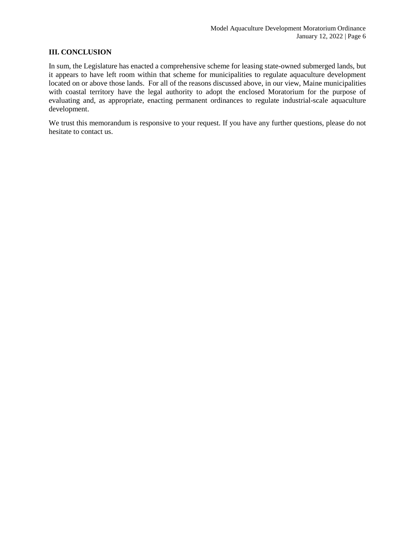#### **III. CONCLUSION**

In sum, the Legislature has enacted a comprehensive scheme for leasing state-owned submerged lands, but it appears to have left room within that scheme for municipalities to regulate aquaculture development located on or above those lands. For all of the reasons discussed above, in our view, Maine municipalities with coastal territory have the legal authority to adopt the enclosed Moratorium for the purpose of evaluating and, as appropriate, enacting permanent ordinances to regulate industrial-scale aquaculture development.

We trust this memorandum is responsive to your request. If you have any further questions, please do not hesitate to contact us.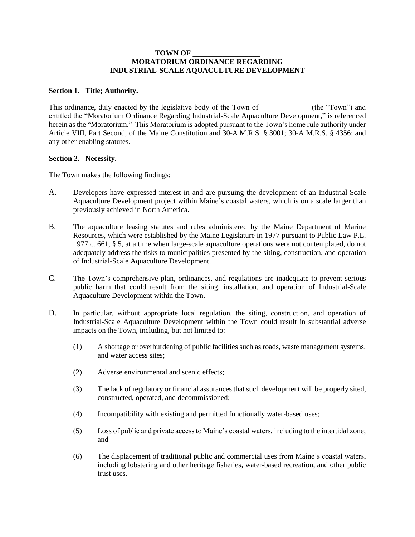#### **TOWN OF \_\_\_\_\_\_\_\_\_\_\_\_\_\_\_\_\_\_ MORATORIUM ORDINANCE REGARDING INDUSTRIAL-SCALE AQUACULTURE DEVELOPMENT**

#### **Section 1. Title; Authority.**

This ordinance, duly enacted by the legislative body of the Town of  $($ the "Town") and entitled the "Moratorium Ordinance Regarding Industrial-Scale Aquaculture Development," is referenced herein as the "Moratorium." This Moratorium is adopted pursuant to the Town's home rule authority under Article VIII, Part Second, of the Maine Constitution and 30-A M.R.S. § 3001; 30-A M.R.S. § 4356; and any other enabling statutes.

#### **Section 2. Necessity.**

The Town makes the following findings:

- A. Developers have expressed interest in and are pursuing the development of an Industrial-Scale Aquaculture Development project within Maine's coastal waters, which is on a scale larger than previously achieved in North America.
- B. The aquaculture leasing statutes and rules administered by the Maine Department of Marine Resources, which were established by the Maine Legislature in 1977 pursuant to Public Law P.L. 1977 c. 661, § 5, at a time when large-scale aquaculture operations were not contemplated, do not adequately address the risks to municipalities presented by the siting, construction, and operation of Industrial-Scale Aquaculture Development.
- C. The Town's comprehensive plan, ordinances, and regulations are inadequate to prevent serious public harm that could result from the siting, installation, and operation of Industrial-Scale Aquaculture Development within the Town.
- D. In particular, without appropriate local regulation, the siting, construction, and operation of Industrial-Scale Aquaculture Development within the Town could result in substantial adverse impacts on the Town, including, but not limited to:
	- (1) A shortage or overburdening of public facilities such as roads, waste management systems, and water access sites;
	- (2) Adverse environmental and scenic effects;
	- (3) The lack of regulatory or financial assurances that such development will be properly sited, constructed, operated, and decommissioned;
	- (4) Incompatibility with existing and permitted functionally water-based uses;
	- (5) Loss of public and private access to Maine's coastal waters, including to the intertidal zone; and
	- (6) The displacement of traditional public and commercial uses from Maine's coastal waters, including lobstering and other heritage fisheries, water-based recreation, and other public trust uses.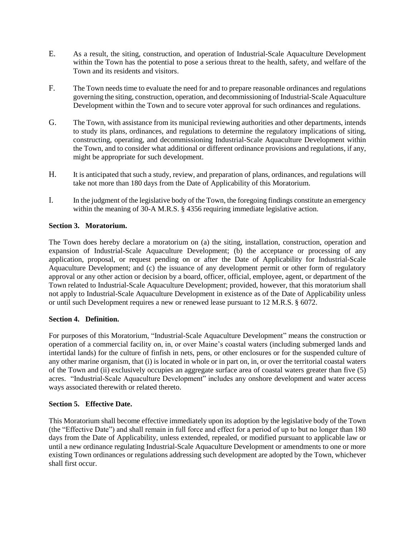- E. As a result, the siting, construction, and operation of Industrial-Scale Aquaculture Development within the Town has the potential to pose a serious threat to the health, safety, and welfare of the Town and its residents and visitors.
- F. The Town needs time to evaluate the need for and to prepare reasonable ordinances and regulations governing the siting, construction, operation, and decommissioning of Industrial-Scale Aquaculture Development within the Town and to secure voter approval for such ordinances and regulations.
- G. The Town, with assistance from its municipal reviewing authorities and other departments, intends to study its plans, ordinances, and regulations to determine the regulatory implications of siting, constructing, operating, and decommissioning Industrial-Scale Aquaculture Development within the Town, and to consider what additional or different ordinance provisions and regulations, if any, might be appropriate for such development.
- H. It is anticipated that such a study, review, and preparation of plans, ordinances, and regulations will take not more than 180 days from the Date of Applicability of this Moratorium.
- I. In the judgment of the legislative body of the Town, the foregoing findings constitute an emergency within the meaning of 30-A M.R.S. § 4356 requiring immediate legislative action.

#### **Section 3. Moratorium.**

The Town does hereby declare a moratorium on (a) the siting, installation, construction, operation and expansion of Industrial-Scale Aquaculture Development; (b) the acceptance or processing of any application, proposal, or request pending on or after the Date of Applicability for Industrial-Scale Aquaculture Development; and (c) the issuance of any development permit or other form of regulatory approval or any other action or decision by a board, officer, official, employee, agent, or department of the Town related to Industrial-Scale Aquaculture Development; provided, however, that this moratorium shall not apply to Industrial-Scale Aquaculture Development in existence as of the Date of Applicability unless or until such Development requires a new or renewed lease pursuant to 12 M.R.S. § 6072.

#### **Section 4. Definition.**

For purposes of this Moratorium, "Industrial-Scale Aquaculture Development" means the construction or operation of a commercial facility on, in, or over Maine's coastal waters (including submerged lands and intertidal lands) for the culture of finfish in nets, pens, or other enclosures or for the suspended culture of any other marine organism, that (i) is located in whole or in part on, in, or over the territorial coastal waters of the Town and (ii) exclusively occupies an aggregate surface area of coastal waters greater than five (5) acres. "Industrial-Scale Aquaculture Development" includes any onshore development and water access ways associated therewith or related thereto.

#### **Section 5. Effective Date.**

This Moratorium shall become effective immediately upon its adoption by the legislative body of the Town (the "Effective Date") and shall remain in full force and effect for a period of up to but no longer than 180 days from the Date of Applicability, unless extended, repealed, or modified pursuant to applicable law or until a new ordinance regulating Industrial-Scale Aquaculture Development or amendments to one or more existing Town ordinances or regulations addressing such development are adopted by the Town, whichever shall first occur.